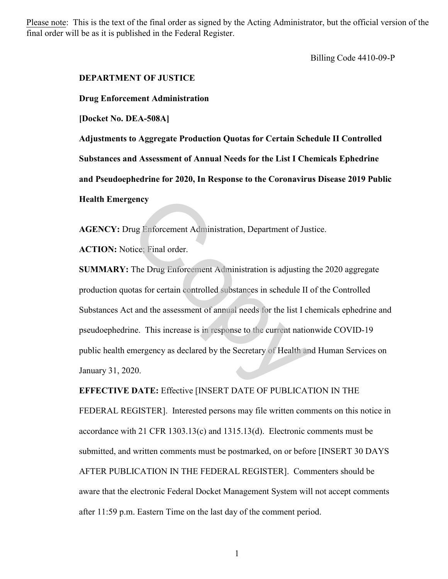Please note: This is the text of the final order as signed by the Acting Administrator, but the official version of the final order will be as it is published in the Federal Register.

Billing Code 4410-09-P

## **DEPARTMENT OF JUSTICE**

**Drug Enforcement Administration**

**[Docket No. DEA-508A]** 

**Adjustments to Aggregate Production Quotas for Certain Schedule II Controlled Substances and Assessment of Annual Needs for the List I Chemicals Ephedrine and Pseudoephedrine for 2020, In Response to the Coronavirus Disease 2019 Public Health Emergency**

**AGENCY:** Drug Enforcement Administration, Department of Justice.

**ACTION:** Notice; Final order.

**SUMMARY:** The Drug Enforcement Administration is adjusting the 2020 aggregate production quotas for certain controlled substances in schedule II of the Controlled Substances Act and the assessment of annual needs for the list I chemicals ephedrine and pseudoephedrine. This increase is in response to the current nationwide COVID-19 public health emergency as declared by the Secretary of Health and Human Services on January 31, 2020. rug Enforcement Administration, Department of Justice: Final order.<br>The Drug Enforcement Administration is adjusting<br>otas for certain controlled substances in schedule II<br>otan the assessment of annual needs for the list I

**EFFECTIVE DATE:** Effective [INSERT DATE OF PUBLICATION IN THE FEDERAL REGISTER]. Interested persons may file written comments on this notice in accordance with 21 CFR 1303.13(c) and 1315.13(d). Electronic comments must be submitted, and written comments must be postmarked, on or before [INSERT 30 DAYS AFTER PUBLICATION IN THE FEDERAL REGISTER]. Commenters should be aware that the electronic Federal Docket Management System will not accept comments after 11:59 p.m. Eastern Time on the last day of the comment period.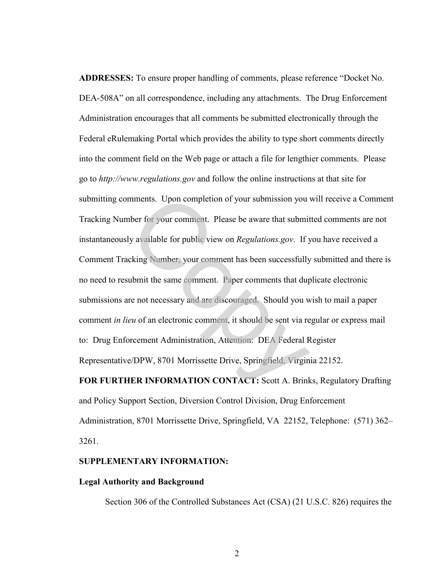**ADDRESSES:** To ensure proper handling of comments, please reference "Docket No. DEA-508A" on all correspondence, including any attachments. The Drug Enforcement Administration encourages that all comments be submitted electronically through the Federal eRulemaking Portal which provides the ability to type short comments directly into the comment field on the Web page or attach a file for lengthier comments. Please go to *http://www.regulations.gov* and follow the online instructions at that site for submitting comments. Upon completion of your submission you will receive a Comment Tracking Number for your comment. Please be aware that submitted comments are not instantaneously available for public view on *Regulations.gov*. If you have received a Comment Tracking Number, your comment has been successfully submitted and there is no need to resubmit the same comment. Paper comments that duplicate electronic submissions are not necessary and are discouraged. Should you wish to mail a paper comment *in lieu* of an electronic comment, it should be sent via regular or express mail to: Drug Enforcement Administration, Attention: DEA Federal Register Representative/DPW, 8701 Morrissette Drive, Springfield, Virginia 22152. mments. Upon completion of your submission you v<br>ther for your comment. Please be aware that submit<br>ly available for public view on *Regulations.gov*. If y<br>cking Number, your comment has been successfully<br>ubmit the same co

**FOR FURTHER INFORMATION CONTACT:** Scott A. Brinks, Regulatory Drafting and Policy Support Section, Diversion Control Division, Drug Enforcement Administration, 8701 Morrissette Drive, Springfield, VA 22152, Telephone: (571) 362– 3261.

#### **SUPPLEMENTARY INFORMATION:**

#### **Legal Authority and Background**

Section 306 of the Controlled Substances Act (CSA) (21 U.S.C. 826) requires the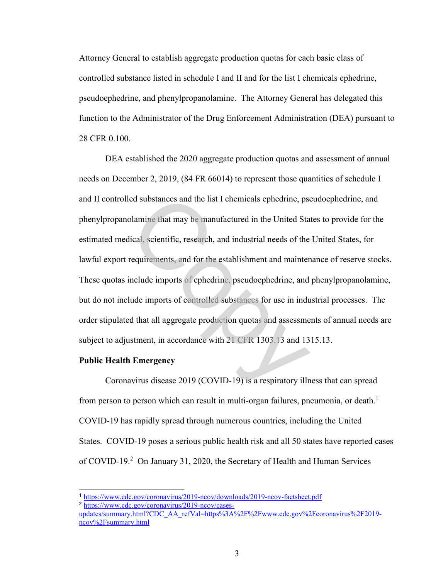Attorney General to establish aggregate production quotas for each basic class of controlled substance listed in schedule I and II and for the list I chemicals ephedrine, pseudoephedrine, and phenylpropanolamine. The Attorney General has delegated this function to the Administrator of the Drug Enforcement Administration (DEA) pursuant to 28 CFR 0.100.

DEA established the 2020 aggregate production quotas and assessment of annual needs on December 2, 2019, (84 FR 66014) to represent those quantities of schedule I and II controlled substances and the list I chemicals ephedrine, pseudoephedrine, and phenylpropanolamine that may be manufactured in the United States to provide for the estimated medical, scientific, research, and industrial needs of the United States, for lawful export requirements, and for the establishment and maintenance of reserve stocks. These quotas include imports of ephedrine, pseudoephedrine, and phenylpropanolamine, but do not include imports of controlled substances for use in industrial processes. The order stipulated that all aggregate production quotas and assessments of annual needs are subject to adjustment, in accordance with 21 CFR 1303.13 and 1315.13. led substances and the list I chemicals ephedrine, pseudamine that may be manufactured in the United Sta<br>lical, scientific, research, and industrial needs of the<br>requirements, and for the establishment and mainter<br>include

### **Public Health Emergency**

Coronavirus disease 2019 (COVID-19) is a respiratory illness that can spread from person to person which can result in multi-organ failures, pneumonia, or death.<sup>1</sup> COVID-19 has rapidly spread through numerous countries, including the United States. COVID-19 poses a serious public health risk and all 50 states have reported cases of COVID-19.<sup>2</sup> On January 31, 2020, the Secretary of Health and Human Services

<sup>1</sup> <https://www.cdc.gov/coronavirus/2019-ncov/downloads/2019-ncov-factsheet.pdf>

<sup>2</sup> [https://www.cdc.gov/coronavirus/2019-ncov/cases-](https://www.cdc.gov/coronavirus/2019-ncov/cases-updates/summary.html?CDC_AA_refVal=https%3A%2F%2Fwww.cdc.gov%2Fcoronavirus%2F2019-ncov%2Fsummary.html)

[updates/summary.html?CDC\\_AA\\_refVal=https%3A%2F%2Fwww.cdc.gov%2Fcoronavirus%2F2019](https://www.cdc.gov/coronavirus/2019-ncov/cases-updates/summary.html?CDC_AA_refVal=https%3A%2F%2Fwww.cdc.gov%2Fcoronavirus%2F2019-ncov%2Fsummary.html) [ncov%2Fsummary.html](https://www.cdc.gov/coronavirus/2019-ncov/cases-updates/summary.html?CDC_AA_refVal=https%3A%2F%2Fwww.cdc.gov%2Fcoronavirus%2F2019-ncov%2Fsummary.html)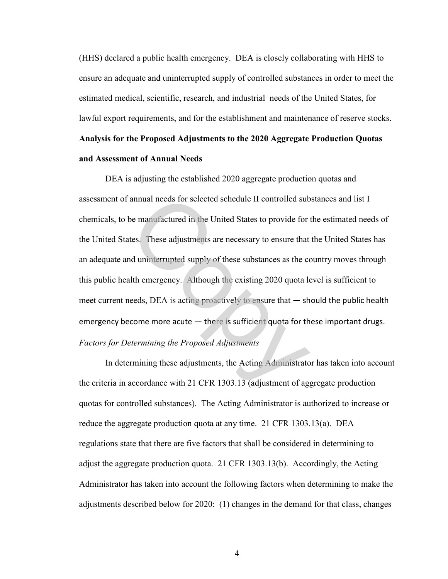(HHS) declared a public health emergency. DEA is closely collaborating with HHS to ensure an adequate and uninterrupted supply of controlled substances in order to meet the estimated medical, scientific, research, and industrial needs of the United States, for lawful export requirements, and for the establishment and maintenance of reserve stocks. **Analysis for the Proposed Adjustments to the 2020 Aggregate Production Quotas and Assessment of Annual Needs**

DEA is adjusting the established 2020 aggregate production quotas and assessment of annual needs for selected schedule II controlled substances and list I chemicals, to be manufactured in the United States to provide for the estimated needs of the United States. These adjustments are necessary to ensure that the United States has an adequate and uninterrupted supply of these substances as the country moves through this public health emergency. Although the existing 2020 quota level is sufficient to meet current needs, DEA is acting proactively to ensure that — should the public health emergency become more acute - there is sufficient quota for these important drugs. *Factors for Determining the Proposed Adjustments*  annual needs for selected schedule II controlled sub<br>be manufactured in the United States to provide for the<br>tes. These adjustments are necessary to ensure that<br>and uninterrupted supply of these substances as the coulth e

In determining these adjustments, the Acting Administrator has taken into account the criteria in accordance with 21 CFR 1303.13 (adjustment of aggregate production quotas for controlled substances). The Acting Administrator is authorized to increase or reduce the aggregate production quota at any time. 21 CFR 1303.13(a). DEA regulations state that there are five factors that shall be considered in determining to adjust the aggregate production quota. 21 CFR 1303.13(b). Accordingly, the Acting Administrator has taken into account the following factors when determining to make the adjustments described below for 2020: (1) changes in the demand for that class, changes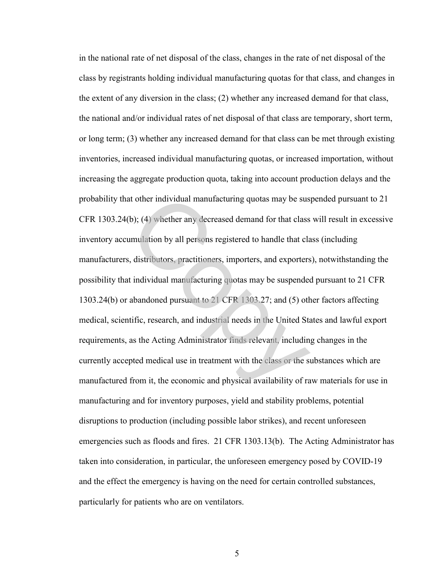in the national rate of net disposal of the class, changes in the rate of net disposal of the class by registrants holding individual manufacturing quotas for that class, and changes in the extent of any diversion in the class; (2) whether any increased demand for that class, the national and/or individual rates of net disposal of that class are temporary, short term, or long term; (3) whether any increased demand for that class can be met through existing inventories, increased individual manufacturing quotas, or increased importation, without increasing the aggregate production quota, taking into account production delays and the probability that other individual manufacturing quotas may be suspended pursuant to 21 CFR 1303.24(b); (4) whether any decreased demand for that class will result in excessive inventory accumulation by all persons registered to handle that class (including manufacturers, distributors, practitioners, importers, and exporters), notwithstanding the possibility that individual manufacturing quotas may be suspended pursuant to 21 CFR 1303.24(b) or abandoned pursuant to 21 CFR 1303.27; and (5) other factors affecting medical, scientific, research, and industrial needs in the United States and lawful export requirements, as the Acting Administrator finds relevant, including changes in the currently accepted medical use in treatment with the class or the substances which are manufactured from it, the economic and physical availability of raw materials for use in manufacturing and for inventory purposes, yield and stability problems, potential disruptions to production (including possible labor strikes), and recent unforeseen emergencies such as floods and fires. 21 CFR 1303.13(b). The Acting Administrator has taken into consideration, in particular, the unforeseen emergency posed by COVID-19 and the effect the emergency is having on the need for certain controlled substances, particularly for patients who are on ventilators. at other individual manufacturing quotas may be sus<br>(b); (4) whether any decreased demand for that class<br>umulation by all persons registered to handle that class<br>i, distributors, practitioners, importers, and exporters<br>t i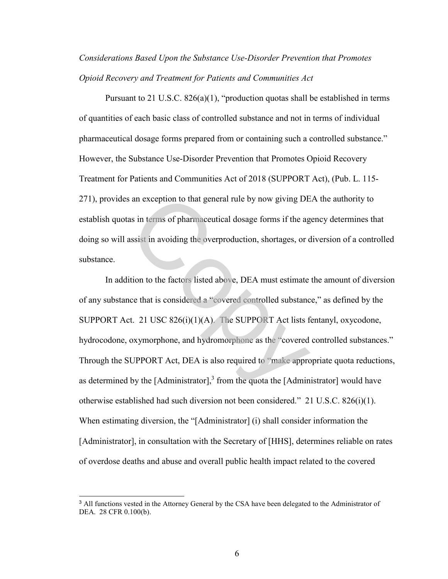*Considerations Based Upon the Substance Use-Disorder Prevention that Promotes Opioid Recovery and Treatment for Patients and Communities Act* 

Pursuant to 21 U.S.C. 826(a)(1), "production quotas shall be established in terms of quantities of each basic class of controlled substance and not in terms of individual pharmaceutical dosage forms prepared from or containing such a controlled substance." However, the Substance Use-Disorder Prevention that Promotes Opioid Recovery Treatment for Patients and Communities Act of 2018 (SUPPORT Act), (Pub. L. 115- 271), provides an exception to that general rule by now giving DEA the authority to establish quotas in terms of pharmaceutical dosage forms if the agency determines that doing so will assist in avoiding the overproduction, shortages, or diversion of a controlled substance.

In addition to the factors listed above, DEA must estimate the amount of diversion of any substance that is considered a "covered controlled substance," as defined by the SUPPORT Act. 21 USC 826(i)(1)(A). The SUPPORT Act lists fentanyl, oxycodone, hydrocodone, oxymorphone, and hydromorphone as the "covered controlled substances." Through the SUPPORT Act, DEA is also required to "make appropriate quota reductions, as determined by the [Administrator], $3$  from the quota the [Administrator] would have otherwise established had such diversion not been considered." 21 U.S.C. 826(i)(1). When estimating diversion, the "[Administrator] (i) shall consider information the [Administrator], in consultation with the Secretary of [HHS], determines reliable on rates of overdose deaths and abuse and overall public health impact related to the covered s an exception to that general rule by now giving DE<br>as in terms of pharmaceutical dosage forms if the ag<br>assist in avoiding the overproduction, shortages, or c<br>ition to the factors listed above, DEA must estimate<br>ce that

l

<sup>&</sup>lt;sup>3</sup> All functions vested in the Attorney General by the CSA have been delegated to the Administrator of DEA. 28 CFR 0.100(b).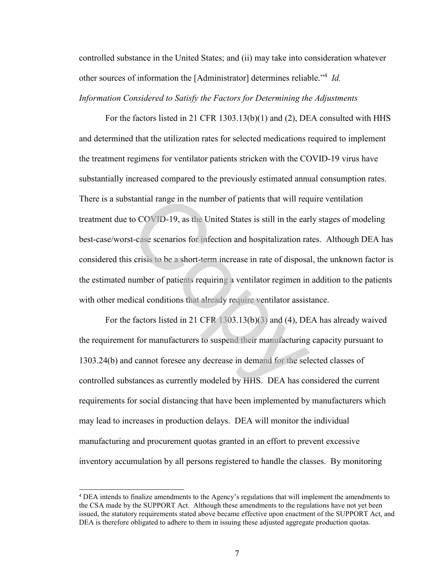controlled substance in the United States; and (ii) may take into consideration whatever other sources of information the [Administrator] determines reliable."<sup>4</sup> *Id. Information Considered to Satisfy the Factors for Determining the Adjustments* 

For the factors listed in 21 CFR 1303.13(b)(1) and (2), DEA consulted with HHS and determined that the utilization rates for selected medications required to implement the treatment regimens for ventilator patients stricken with the COVID-19 virus have substantially increased compared to the previously estimated annual consumption rates. There is a substantial range in the number of patients that will require ventilation treatment due to COVID-19, as the United States is still in the early stages of modeling best-case/worst-case scenarios for infection and hospitalization rates. Although DEA has considered this crisis to be a short-term increase in rate of disposal, the unknown factor is the estimated number of patients requiring a ventilator regimen in addition to the patients with other medical conditions that already require ventilator assistance. stantial range in the number of patients that will require<br>to COVID-19, as the United States is still in the early<br>st-case scenarios for infection and hospitalization rat<br>s crisis to be a short-term increase in rate of dis

For the factors listed in 21 CFR 1303.13(b)(3) and (4), DEA has already waived the requirement for manufacturers to suspend their manufacturing capacity pursuant to 1303.24(b) and cannot foresee any decrease in demand for the selected classes of controlled substances as currently modeled by HHS. DEA has considered the current requirements for social distancing that have been implemented by manufacturers which may lead to increases in production delays. DEA will monitor the individual manufacturing and procurement quotas granted in an effort to prevent excessive inventory accumulation by all persons registered to handle the classes. By monitoring

<sup>4</sup> DEA intends to finalize amendments to the Agency's regulations that will implement the amendments to the CSA made by the SUPPORT Act. Although these amendments to the regulations have not yet been issued, the statutory requirements stated above became effective upon enactment of the SUPPORT Act, and DEA is therefore obligated to adhere to them in issuing these adjusted aggregate production quotas.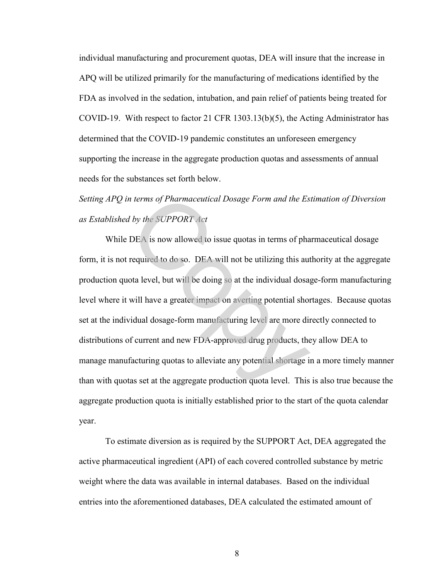individual manufacturing and procurement quotas, DEA will insure that the increase in APQ will be utilized primarily for the manufacturing of medications identified by the FDA as involved in the sedation, intubation, and pain relief of patients being treated for COVID-19. With respect to factor 21 CFR 1303.13(b)(5), the Acting Administrator has determined that the COVID-19 pandemic constitutes an unforeseen emergency supporting the increase in the aggregate production quotas and assessments of annual needs for the substances set forth below.

*Setting APQ in terms of Pharmaceutical Dosage Form and the Estimation of Diversion as Established by the SUPPORT Act*

While DEA is now allowed to issue quotas in terms of pharmaceutical dosage form, it is not required to do so. DEA will not be utilizing this authority at the aggregate production quota level, but will be doing so at the individual dosage-form manufacturing level where it will have a greater impact on averting potential shortages. Because quotas set at the individual dosage-form manufacturing level are more directly connected to distributions of current and new FDA-approved drug products, they allow DEA to manage manufacturing quotas to alleviate any potential shortage in a more timely manner than with quotas set at the aggregate production quota level. This is also true because the aggregate production quota is initially established prior to the start of the quota calendar year. In terms of Pharmaceutical Dosage Form and the Es<br>
I by the SUPPORT Act<br>
DEA is now allowed to issue quotas in terms of pha<br>
required to do so. DEA will not be utilizing this aut<br>
ota level, but will be doing so at the ind

To estimate diversion as is required by the SUPPORT Act, DEA aggregated the active pharmaceutical ingredient (API) of each covered controlled substance by metric weight where the data was available in internal databases. Based on the individual entries into the aforementioned databases, DEA calculated the estimated amount of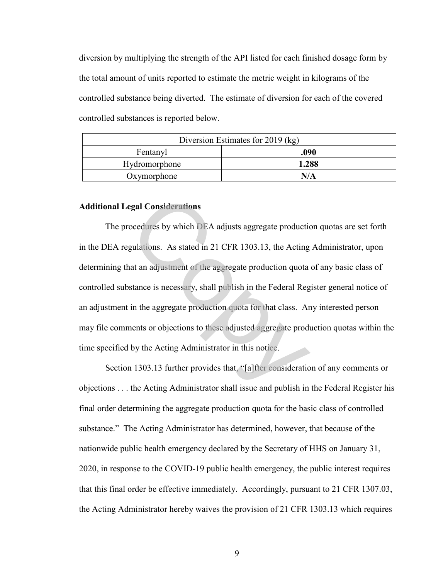diversion by multiplying the strength of the API listed for each finished dosage form by the total amount of units reported to estimate the metric weight in kilograms of the controlled substance being diverted. The estimate of diversion for each of the covered controlled substances is reported below.

| Diversion Estimates for 2019 (kg) |       |  |
|-----------------------------------|-------|--|
| Fentanyl                          | .090  |  |
| Hydromorphone                     | 1.288 |  |
| Oxymorphone                       |       |  |

### **Additional Legal Considerations**

 The procedures by which DEA adjusts aggregate production quotas are set forth in the DEA regulations. As stated in 21 CFR 1303.13, the Acting Administrator, upon determining that an adjustment of the aggregate production quota of any basic class of controlled substance is necessary, shall publish in the Federal Register general notice of an adjustment in the aggregate production quota for that class. Any interested person may file comments or objections to these adjusted aggregate production quotas within the time specified by the Acting Administrator in this notice. egal Considerations<br>
ocedures by which DEA adjusts aggregate productic<br>
gulations. As stated in 21 CFR 1303.13, the Acting<br>
nat an adjustment of the aggregate production quota<br>
stance is necessary, shall publish in the Fed

 Section 1303.13 further provides that, "[a]fter consideration of any comments or objections . . . the Acting Administrator shall issue and publish in the Federal Register his final order determining the aggregate production quota for the basic class of controlled substance." The Acting Administrator has determined, however, that because of the nationwide public health emergency declared by the Secretary of HHS on January 31, 2020, in response to the COVID-19 public health emergency, the public interest requires that this final order be effective immediately. Accordingly, pursuant to 21 CFR 1307.03, the Acting Administrator hereby waives the provision of 21 CFR 1303.13 which requires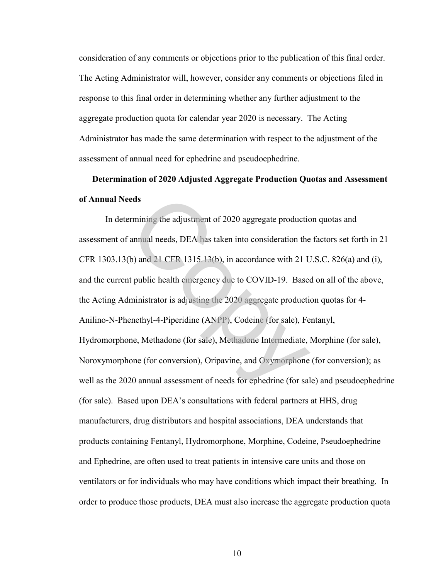consideration of any comments or objections prior to the publication of this final order. The Acting Administrator will, however, consider any comments or objections filed in response to this final order in determining whether any further adjustment to the aggregate production quota for calendar year 2020 is necessary. The Acting Administrator has made the same determination with respect to the adjustment of the assessment of annual need for ephedrine and pseudoephedrine.

# **Determination of 2020 Adjusted Aggregate Production Quotas and Assessment of Annual Needs**

In determining the adjustment of 2020 aggregate production quotas and assessment of annual needs, DEA has taken into consideration the factors set forth in 21 CFR 1303.13(b) and 21 CFR 1315.13(b), in accordance with 21 U.S.C. 826(a) and (i), and the current public health emergency due to COVID-19. Based on all of the above, the Acting Administrator is adjusting the 2020 aggregate production quotas for 4- Anilino-N-Phenethyl-4-Piperidine (ANPP), Codeine (for sale), Fentanyl, Hydromorphone, Methadone (for sale), Methadone Intermediate, Morphine (for sale), Noroxymorphone (for conversion), Oripavine, and Oxymorphone (for conversion); as well as the 2020 annual assessment of needs for ephedrine (for sale) and pseudoephedrine (for sale). Based upon DEA's consultations with federal partners at HHS, drug manufacturers, drug distributors and hospital associations, DEA understands that products containing Fentanyl, Hydromorphone, Morphine, Codeine, Pseudoephedrine and Ephedrine, are often used to treat patients in intensive care units and those on ventilators or for individuals who may have conditions which impact their breathing. In order to produce those products, DEA must also increase the aggregate production quota eds<br>
ermining the adjustment of 2020 aggregate productic<br>
annual needs, DEA has taken into consideration the<br>
(b) and 21 CFR 1315.13(b), in accordance with 21 U<br>
tt public health emergency due to COVID-19. Based<br>
ministrat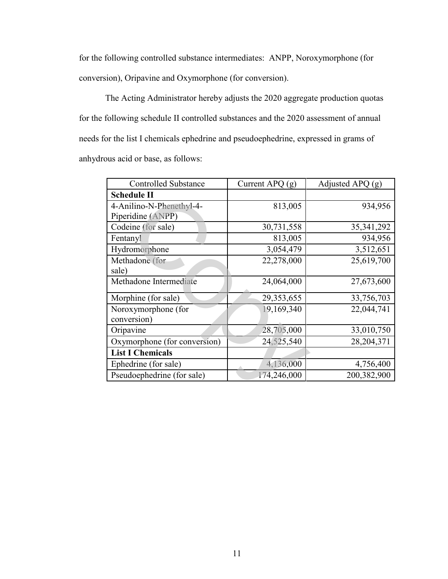for the following controlled substance intermediates: ANPP, Noroxymorphone (for conversion), Oripavine and Oxymorphone (for conversion).

The Acting Administrator hereby adjusts the 2020 aggregate production quotas for the following schedule II controlled substances and the 2020 assessment of annual needs for the list I chemicals ephedrine and pseudoephedrine, expressed in grams of anhydrous acid or base, as follows:

| <b>Controlled Substance</b>        | Current APQ $(g)$ | Adjusted APQ $(g)$ |
|------------------------------------|-------------------|--------------------|
| <b>Schedule II</b>                 |                   |                    |
| 4-Anilino-N-Phenethyl-4-           | 813,005           | 934,956            |
| Piperidine (ANPP)                  |                   |                    |
| Codeine (for sale)                 | 30,731,558        | 35, 341, 292       |
| Fentanyl                           | 813,005           | 934,956            |
| Hydromorphone                      | 3,054,479         | 3,512,651          |
| Methadone (for                     | 22,278,000        | 25,619,700         |
| sale)                              |                   |                    |
| Methadone Intermediate             | 24,064,000        | 27,673,600         |
| Morphine (for sale)                | 29,353,655        | 33,756,703         |
| Noroxymorphone (for<br>conversion) | 19,169,340        | 22,044,741         |
| Oripavine                          | 28,705,000        | 33,010,750         |
| Oxymorphone (for conversion)       | 24,525,540        | 28,204,371         |
| <b>List I Chemicals</b>            |                   |                    |
| Ephedrine (for sale)               | 4,136,000         | 4,756,400          |
| Pseudoephedrine (for sale)         | 174,246,000       | 200,382,900        |
|                                    |                   |                    |
|                                    |                   |                    |